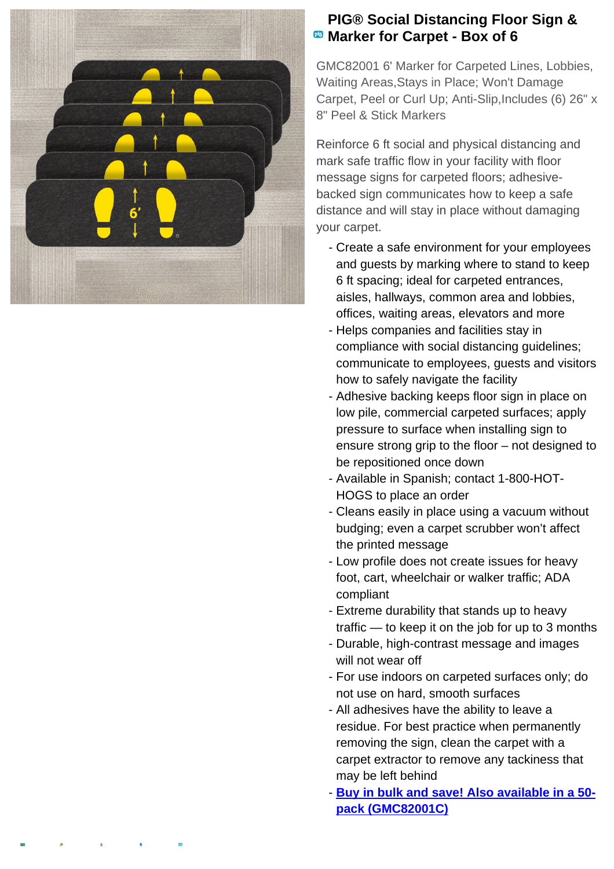

## **PIG® Social Distancing Floor Sign & Marker for Carpet - Box of 6**

GMC82001 6' Marker for Carpeted Lines, Lobbies, Waiting Areas,Stays in Place; Won't Damage Carpet, Peel or Curl Up; Anti-Slip,Includes (6) 26" x 8" Peel & Stick Markers

Reinforce 6 ft social and physical distancing and mark safe traffic flow in your facility with floor message signs for carpeted floors; adhesivebacked sign communicates how to keep a safe distance and will stay in place without damaging your carpet.

- Create a safe environment for your employees and guests by marking where to stand to keep 6 ft spacing; ideal for carpeted entrances, aisles, hallways, common area and lobbies, offices, waiting areas, elevators and more
- Helps companies and facilities stay in compliance with social distancing guidelines; communicate to employees, guests and visitors how to safely navigate the facility
- Adhesive backing keeps floor sign in place on low pile, commercial carpeted surfaces; apply pressure to surface when installing sign to ensure strong grip to the floor – not designed to be repositioned once down
- Available in Spanish; contact 1-800-HOT-HOGS to place an order
- Cleans easily in place using a vacuum without budging; even a carpet scrubber won't affect the printed message
- Low profile does not create issues for heavy foot, cart, wheelchair or walker traffic; ADA compliant
- Extreme durability that stands up to heavy traffic — to keep it on the job for up to 3 months
- Durable, high-contrast message and images will not wear off
- For use indoors on carpeted surfaces only; do not use on hard, smooth surfaces
- All adhesives have the ability to leave a residue. For best practice when permanently removing the sign, clean the carpet with a carpet extractor to remove any tackiness that may be left behind
- **Buy in bulk and save! Also available in a 50pack (GMC82001C)**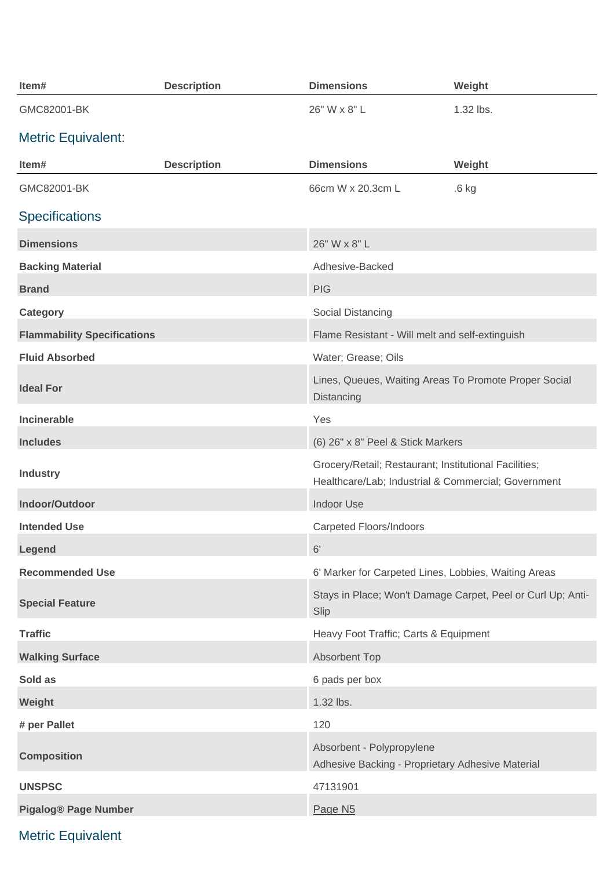| Item#                              | <b>Description</b> | <b>Dimensions</b>                                                                                            | Weight                                                      |
|------------------------------------|--------------------|--------------------------------------------------------------------------------------------------------------|-------------------------------------------------------------|
| GMC82001-BK                        |                    | 26" W x 8" L                                                                                                 | 1.32 lbs.                                                   |
| <b>Metric Equivalent:</b>          |                    |                                                                                                              |                                                             |
| Item#                              | <b>Description</b> | <b>Dimensions</b>                                                                                            | Weight                                                      |
| GMC82001-BK                        |                    | 66cm W x 20.3cm L                                                                                            | $.6$ kg                                                     |
| <b>Specifications</b>              |                    |                                                                                                              |                                                             |
| <b>Dimensions</b>                  |                    | 26" W x 8" L                                                                                                 |                                                             |
| <b>Backing Material</b>            |                    | Adhesive-Backed                                                                                              |                                                             |
| <b>Brand</b>                       |                    | <b>PIG</b>                                                                                                   |                                                             |
| Category                           |                    | Social Distancing                                                                                            |                                                             |
| <b>Flammability Specifications</b> |                    | Flame Resistant - Will melt and self-extinguish                                                              |                                                             |
| <b>Fluid Absorbed</b>              |                    | Water; Grease; Oils                                                                                          |                                                             |
| <b>Ideal For</b>                   |                    | Lines, Queues, Waiting Areas To Promote Proper Social<br>Distancing                                          |                                                             |
| <b>Incinerable</b>                 |                    | Yes                                                                                                          |                                                             |
| <b>Includes</b>                    |                    | (6) 26" x 8" Peel & Stick Markers                                                                            |                                                             |
| <b>Industry</b>                    |                    | Grocery/Retail; Restaurant; Institutional Facilities;<br>Healthcare/Lab; Industrial & Commercial; Government |                                                             |
| Indoor/Outdoor                     |                    | <b>Indoor Use</b>                                                                                            |                                                             |
| <b>Intended Use</b>                |                    | <b>Carpeted Floors/Indoors</b>                                                                               |                                                             |
| Legend                             |                    | 6'                                                                                                           |                                                             |
| <b>Recommended Use</b>             |                    | 6' Marker for Carpeted Lines, Lobbies, Waiting Areas                                                         |                                                             |
| <b>Special Feature</b>             |                    | Slip                                                                                                         | Stays in Place; Won't Damage Carpet, Peel or Curl Up; Anti- |
| <b>Traffic</b>                     |                    | Heavy Foot Traffic; Carts & Equipment                                                                        |                                                             |
| <b>Walking Surface</b>             |                    | Absorbent Top                                                                                                |                                                             |
| Sold as                            |                    | 6 pads per box                                                                                               |                                                             |
| Weight                             |                    | 1.32 lbs.                                                                                                    |                                                             |
| # per Pallet                       |                    | 120                                                                                                          |                                                             |
| <b>Composition</b>                 |                    | Absorbent - Polypropylene<br>Adhesive Backing - Proprietary Adhesive Material                                |                                                             |
| <b>UNSPSC</b>                      |                    | 47131901                                                                                                     |                                                             |
| <b>Pigalog® Page Number</b>        |                    | Page N <sub>5</sub>                                                                                          |                                                             |

Metric Equivalent